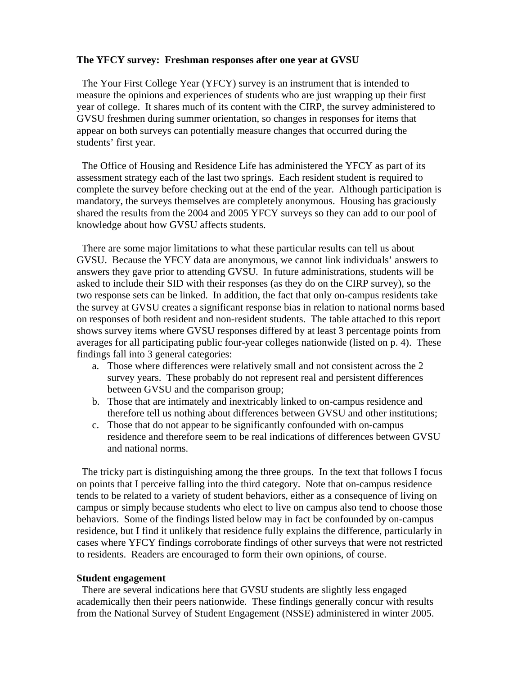### **The YFCY survey: Freshman responses after one year at GVSU**

 The Your First College Year (YFCY) survey is an instrument that is intended to measure the opinions and experiences of students who are just wrapping up their first year of college. It shares much of its content with the CIRP, the survey administered to GVSU freshmen during summer orientation, so changes in responses for items that appear on both surveys can potentially measure changes that occurred during the students' first year.

 The Office of Housing and Residence Life has administered the YFCY as part of its assessment strategy each of the last two springs. Each resident student is required to complete the survey before checking out at the end of the year. Although participation is mandatory, the surveys themselves are completely anonymous. Housing has graciously shared the results from the 2004 and 2005 YFCY surveys so they can add to our pool of knowledge about how GVSU affects students.

 There are some major limitations to what these particular results can tell us about GVSU. Because the YFCY data are anonymous, we cannot link individuals' answers to answers they gave prior to attending GVSU. In future administrations, students will be asked to include their SID with their responses (as they do on the CIRP survey), so the two response sets can be linked. In addition, the fact that only on-campus residents take the survey at GVSU creates a significant response bias in relation to national norms based on responses of both resident and non-resident students. The table attached to this report shows survey items where GVSU responses differed by at least 3 percentage points from averages for all participating public four-year colleges nationwide (listed on p. 4). These findings fall into 3 general categories:

- a. Those where differences were relatively small and not consistent across the 2 survey years. These probably do not represent real and persistent differences between GVSU and the comparison group;
- b. Those that are intimately and inextricably linked to on-campus residence and therefore tell us nothing about differences between GVSU and other institutions;
- c. Those that do not appear to be significantly confounded with on-campus residence and therefore seem to be real indications of differences between GVSU and national norms.

 The tricky part is distinguishing among the three groups. In the text that follows I focus on points that I perceive falling into the third category. Note that on-campus residence tends to be related to a variety of student behaviors, either as a consequence of living on campus or simply because students who elect to live on campus also tend to choose those behaviors. Some of the findings listed below may in fact be confounded by on-campus residence, but I find it unlikely that residence fully explains the difference, particularly in cases where YFCY findings corroborate findings of other surveys that were not restricted to residents. Readers are encouraged to form their own opinions, of course.

#### **Student engagement**

 There are several indications here that GVSU students are slightly less engaged academically then their peers nationwide. These findings generally concur with results from the National Survey of Student Engagement (NSSE) administered in winter 2005.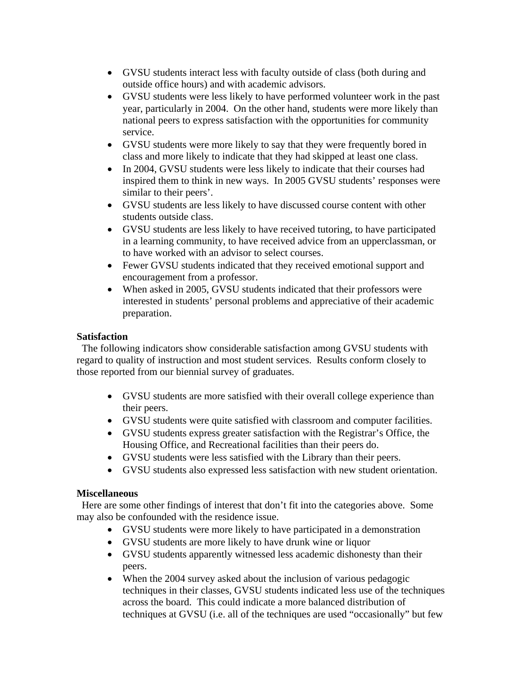- GVSU students interact less with faculty outside of class (both during and outside office hours) and with academic advisors.
- GVSU students were less likely to have performed volunteer work in the past year, particularly in 2004. On the other hand, students were more likely than national peers to express satisfaction with the opportunities for community service.
- GVSU students were more likely to say that they were frequently bored in class and more likely to indicate that they had skipped at least one class.
- In 2004, GVSU students were less likely to indicate that their courses had inspired them to think in new ways. In 2005 GVSU students' responses were similar to their peers'.
- GVSU students are less likely to have discussed course content with other students outside class.
- GVSU students are less likely to have received tutoring, to have participated in a learning community, to have received advice from an upperclassman, or to have worked with an advisor to select courses.
- Fewer GVSU students indicated that they received emotional support and encouragement from a professor.
- When asked in 2005, GVSU students indicated that their professors were interested in students' personal problems and appreciative of their academic preparation.

# **Satisfaction**

 The following indicators show considerable satisfaction among GVSU students with regard to quality of instruction and most student services. Results conform closely to those reported from our biennial survey of graduates.

- GVSU students are more satisfied with their overall college experience than their peers.
- GVSU students were quite satisfied with classroom and computer facilities.
- GVSU students express greater satisfaction with the Registrar's Office, the Housing Office, and Recreational facilities than their peers do.
- GVSU students were less satisfied with the Library than their peers.
- GVSU students also expressed less satisfaction with new student orientation.

# **Miscellaneous**

Here are some other findings of interest that don't fit into the categories above. Some may also be confounded with the residence issue.

- GVSU students were more likely to have participated in a demonstration
- GVSU students are more likely to have drunk wine or liquor
- GVSU students apparently witnessed less academic dishonesty than their peers.
- When the 2004 survey asked about the inclusion of various pedagogic techniques in their classes, GVSU students indicated less use of the techniques across the board. This could indicate a more balanced distribution of techniques at GVSU (i.e. all of the techniques are used "occasionally" but few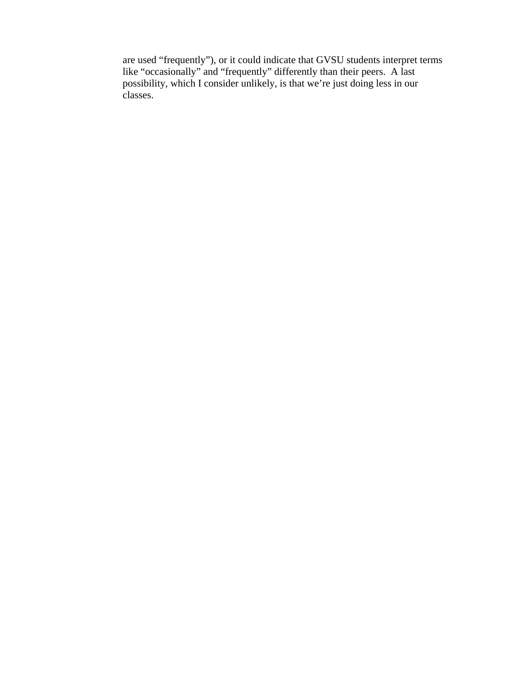are used "frequently"), or it could indicate that GVSU students interpret terms like "occasionally" and "frequently" differently than their peers. A last possibility, which I consider unlikely, is that we're just doing less in our classes.